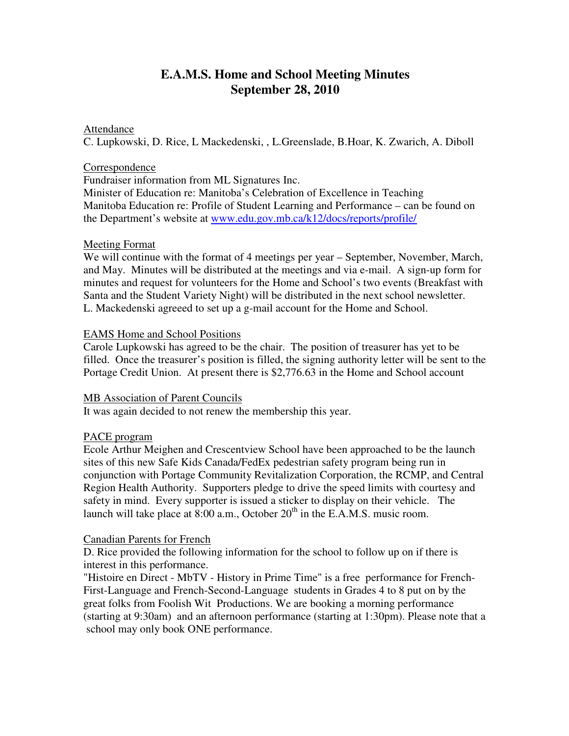# **E.A.M.S. Home and School Meeting Minutes September 28, 2010**

#### Attendance

C. Lupkowski, D. Rice, L Mackedenski, , L.Greenslade, B.Hoar, K. Zwarich, A. Diboll

### Correspondence

Fundraiser information from ML Signatures Inc.

Minister of Education re: Manitoba's Celebration of Excellence in Teaching Manitoba Education re: Profile of Student Learning and Performance – can be found on the Department's website at www.edu.gov.mb.ca/k12/docs/reports/profile/

### Meeting Format

We will continue with the format of 4 meetings per year – September, November, March, and May. Minutes will be distributed at the meetings and via e-mail. A sign-up form for minutes and request for volunteers for the Home and School's two events (Breakfast with Santa and the Student Variety Night) will be distributed in the next school newsletter. L. Mackedenski agreeed to set up a g-mail account for the Home and School.

### EAMS Home and School Positions

Carole Lupkowski has agreed to be the chair. The position of treasurer has yet to be filled. Once the treasurer's position is filled, the signing authority letter will be sent to the Portage Credit Union. At present there is \$2,776.63 in the Home and School account

### MB Association of Parent Councils

It was again decided to not renew the membership this year.

### PACE program

Ecole Arthur Meighen and Crescentview School have been approached to be the launch sites of this new Safe Kids Canada/FedEx pedestrian safety program being run in conjunction with Portage Community Revitalization Corporation, the RCMP, and Central Region Health Authority. Supporters pledge to drive the speed limits with courtesy and safety in mind. Every supporter is issued a sticker to display on their vehicle. The launch will take place at  $8:00$  a.m., October  $20<sup>th</sup>$  in the E.A.M.S. music room.

### Canadian Parents for French

D. Rice provided the following information for the school to follow up on if there is interest in this performance.

"Histoire en Direct - MbTV - History in Prime Time" is a free performance for French-First-Language and French-Second-Language students in Grades 4 to 8 put on by the great folks from Foolish Wit Productions. We are booking a morning performance (starting at 9:30am) and an afternoon performance (starting at 1:30pm). Please note that a school may only book ONE performance.